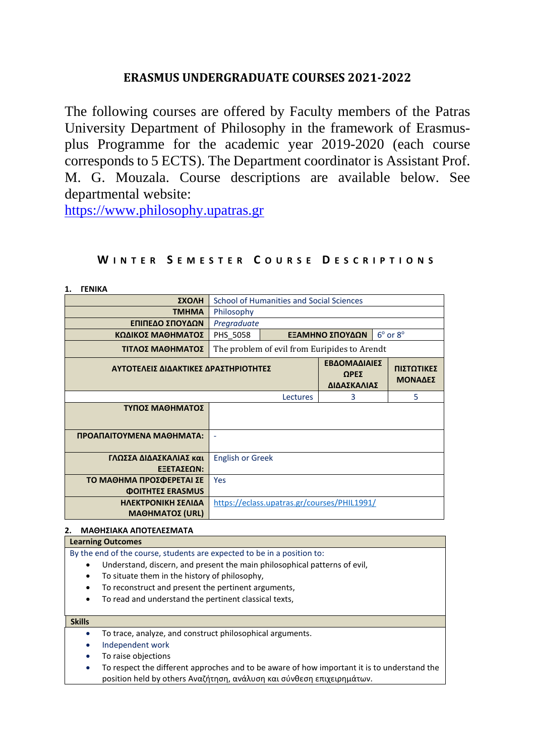# **ERASMUS UNDERGRADUATE COURSES 2021-2022**

The following courses are offered by Faculty members of the Patras University Department of Philosophy in the framework of Erasmusplus Programme for the academic year 2019-2020 (each course corresponds to 5 ECTS). The Department coordinator is Assistant Prof. M. G. Mouzala. Course descriptions are available below. See departmental website:

[https://www.philosophy.upatras.gr](https://www.philosophy.upatras.gr/)

#### **ΣΧΟΛΗ** School of Humanities and Social Sciences **TMHMA** Philosophy **ΕΠΙΠΕΔΟ ΣΠΟΥΔΩΝ** *Pregraduate* **ΚΩΔΙΚΟΣ ΜΑΘΗΜΑΤΟΣ** PHS\_5058  $\degree$  or  $8^{\circ}$ **ΤΙΤΛΟΣ ΜΑΘΗΜΑΤΟΣ** The problem of evil from Euripides to Arendt **ΑΥΤΟΤΕΛΕΙΣ ΔΙΔΑΚΤΙΚΕΣ ΔΡΑΣΤΗΡΙΟΤΗΤΕΣ ΕΒΔΟΜΑΔΙΑΙΕΣ ΩΡΕΣ ΔΙΔΑΣΚΑΛΙΑΣ ΠΙΣΤΩΤΙΚΕΣ ΜΟΝΑΔΕΣ** Lectures 3 5 **ΤΥΠΟΣ ΜΑΘΗΜΑΤΟΣ ΠΡΟΑΠΑΙΤΟΥΜΕΝΑ ΜΑΘΗΜΑΤΑ:** - **ΓΛΩΣΣΑ ΔΙΔΑΣΚΑΛΙΑΣ και ΕΞΕΤΑΣΕΩΝ:** English or Greek **ΤΟ ΜΑΘΗΜΑ ΠΡΟΣΦΕΡΕΤΑΙ ΣΕ ΦΟΙΤΗΤΕΣ ERASMUS** Yes **ΗΛΕΚΤΡΟΝΙΚΗ ΣΕΛΙΔΑ ΜΑΘΗΜΑΤΟΣ (URL)** <https://eclass.upatras.gr/courses/PHIL1991/>

# **W I N T E R S E M E S T E R C O U R S E D E S C R I P T I O N S**

**1. ΓΕΝΙΚΑ**

## **2. ΜΑΘΗΣΙΑΚΑ ΑΠΟΤΕΛΕΣΜΑΤΑ**

### **Learning Outcomes**

- By the end of the course, students are expected to be in a position to:
	- Understand, discern, and present the main philosophical patterns of evil,
	- To situate them in the history of philosophy,
	- To reconstruct and present the pertinent arguments,
	- To read and understand the pertinent classical texts,

#### **Skills**

- To trace, analyze, and construct philosophical arguments.
- Independent work
- To raise objections
- To respect the different approches and to be aware of how important it is to understand the position held by others Αναζήτηση, ανάλυση και σύνθεση επιχειρημάτων.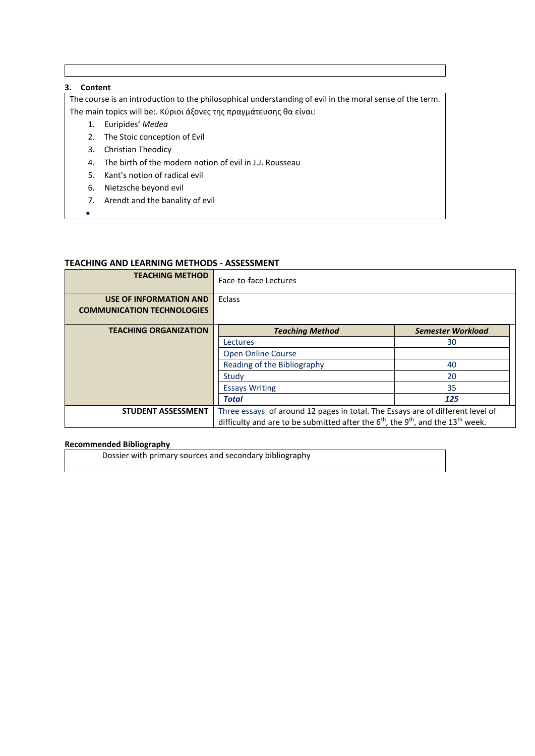## **3. Content**

•

The course is an introduction to the philosophical understanding of evil in the moral sense of the term. The main topics will be:. Κύριοι άξονες της πραγμάτευσης θα είναι:

- 1. Euripides' *Medea*
- 2. The Stoic conception of Evil
- 3. Christian Theodicy
- 4. The birth of the modern notion of evil in J.J. Rousseau
- 5. Kant's notion of radical evil
- 6. Nietzsche beyond evil
- 7. Arendt and the banality of evil

## **TEACHING AND LEARNING METHODS - ΑSSESSMENT**

| <b>TEACHING METHOD</b>                                      | Face-to-face Lectures                                                                                               |                          |  |  |  |
|-------------------------------------------------------------|---------------------------------------------------------------------------------------------------------------------|--------------------------|--|--|--|
| USE OF INFORMATION AND<br><b>COMMUNICATION TECHNOLOGIES</b> | Eclass                                                                                                              |                          |  |  |  |
| <b>TEACHING ORGANIZATION</b>                                | <b>Teaching Method</b>                                                                                              | <b>Semester Workload</b> |  |  |  |
|                                                             | 30<br>Lectures                                                                                                      |                          |  |  |  |
|                                                             | <b>Open Online Course</b>                                                                                           |                          |  |  |  |
|                                                             | Reading of the Bibliography<br>40                                                                                   |                          |  |  |  |
|                                                             | 20<br>Study                                                                                                         |                          |  |  |  |
|                                                             | 35<br><b>Essays Writing</b>                                                                                         |                          |  |  |  |
|                                                             | Total                                                                                                               | 125                      |  |  |  |
| <b>STUDENT ASSESSMENT</b>                                   | Three essays of around 12 pages in total. The Essays are of different level of                                      |                          |  |  |  |
|                                                             | difficulty and are to be submitted after the 6 <sup>th</sup> , the 9 <sup>th</sup> , and the 13 <sup>th</sup> week. |                          |  |  |  |

#### **Recommended Bibliography**

Dossier with primary sources and secondary bibliography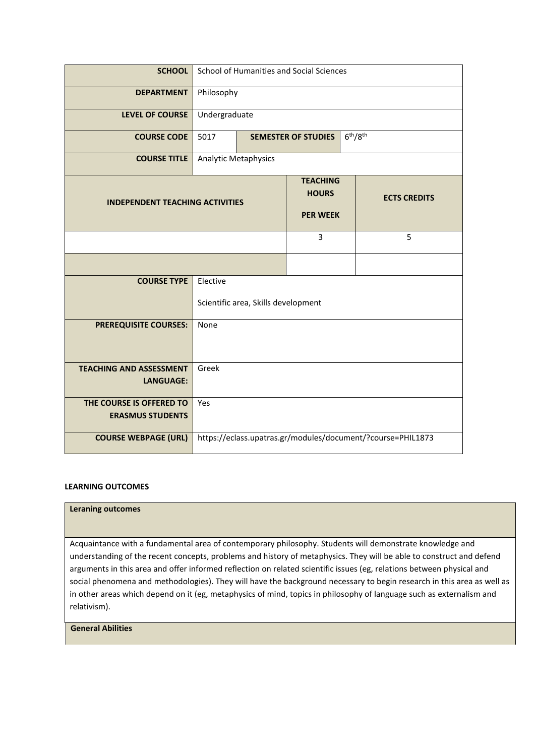| <b>SCHOOL</b>                                       |                                                                           | School of Humanities and Social Sciences                       |  |  |  |
|-----------------------------------------------------|---------------------------------------------------------------------------|----------------------------------------------------------------|--|--|--|
| <b>DEPARTMENT</b>                                   | Philosophy                                                                |                                                                |  |  |  |
| <b>LEVEL OF COURSE</b>                              | Undergraduate                                                             |                                                                |  |  |  |
| <b>COURSE CODE</b>                                  | 5017                                                                      | 6 <sup>th</sup> /8 <sup>th</sup><br><b>SEMESTER OF STUDIES</b> |  |  |  |
| <b>COURSE TITLE</b>                                 | Analytic Metaphysics                                                      |                                                                |  |  |  |
| <b>INDEPENDENT TEACHING ACTIVITIES</b>              | <b>TEACHING</b><br><b>HOURS</b><br><b>ECTS CREDITS</b><br><b>PER WEEK</b> |                                                                |  |  |  |
|                                                     | 3<br>5                                                                    |                                                                |  |  |  |
|                                                     |                                                                           |                                                                |  |  |  |
| <b>COURSE TYPE</b>                                  | Elective<br>Scientific area, Skills development                           |                                                                |  |  |  |
| <b>PREREQUISITE COURSES:</b>                        | None                                                                      |                                                                |  |  |  |
| <b>TEACHING AND ASSESSMENT</b><br><b>LANGUAGE:</b>  | Greek                                                                     |                                                                |  |  |  |
| THE COURSE IS OFFERED TO<br><b>ERASMUS STUDENTS</b> | Yes                                                                       |                                                                |  |  |  |
| <b>COURSE WEBPAGE (URL)</b>                         | https://eclass.upatras.gr/modules/document/?course=PHIL1873               |                                                                |  |  |  |

### **Leraning outcomes**

Acquaintance with a fundamental area of contemporary philosophy. Students will demonstrate knowledge and understanding of the recent concepts, problems and history of metaphysics. They will be able to construct and defend arguments in this area and offer informed reflection on related scientific issues (eg, relations between physical and social phenomena and methodologies). They will have the background necessary to begin research in this area as well as in other areas which depend on it (eg, metaphysics of mind, topics in philosophy of language such as externalism and relativism).

## **General Abilities**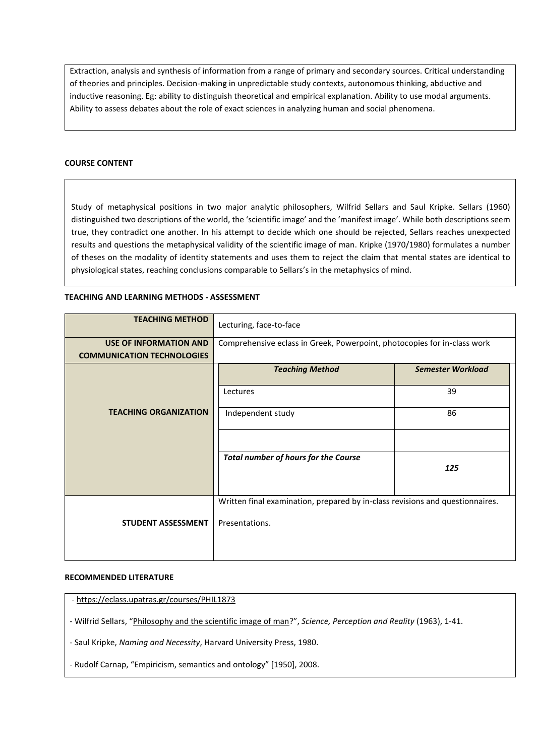Extraction, analysis and synthesis of information from a range of primary and secondary sources. Critical understanding of theories and principles. Decision-making in unpredictable study contexts, autonomous thinking, abductive and inductive reasoning. Eg: ability to distinguish theoretical and empirical explanation. Ability to use modal arguments. Ability to assess debates about the role of exact sciences in analyzing human and social phenomena.

### **COURSE CONTENT**

Study of metaphysical positions in two major analytic philosophers, Wilfrid Sellars and Saul Kripke. Sellars (1960) distinguished two descriptions of the world, the 'scientific image' and the 'manifest image'. While both descriptions seem true, they contradict one another. In his attempt to decide which one should be rejected, Sellars reaches unexpected results and questions the metaphysical validity of the scientific image of man. Kripke (1970/1980) formulates a number of theses on the modality of identity statements and uses them to reject the claim that mental states are identical to physiological states, reaching conclusions comparable to Sellars's in the metaphysics of mind.

## **TEACHING AND LEARNING METHODS - ΑSSESSMENT**

| <b>TEACHING METHOD</b>            | Lecturing, face-to-face                                                       |     |  |  |  |
|-----------------------------------|-------------------------------------------------------------------------------|-----|--|--|--|
| <b>USE OF INFORMATION AND</b>     | Comprehensive eclass in Greek, Powerpoint, photocopies for in-class work      |     |  |  |  |
| <b>COMMUNICATION TECHNOLOGIES</b> |                                                                               |     |  |  |  |
|                                   | <b>Teaching Method</b><br><b>Semester Workload</b>                            |     |  |  |  |
|                                   | Lectures                                                                      | 39  |  |  |  |
| <b>TEACHING ORGANIZATION</b>      | Independent study<br>86                                                       |     |  |  |  |
|                                   |                                                                               |     |  |  |  |
|                                   | <b>Total number of hours for the Course</b>                                   | 125 |  |  |  |
|                                   |                                                                               |     |  |  |  |
|                                   | Written final examination, prepared by in-class revisions and questionnaires. |     |  |  |  |
| <b>STUDENT ASSESSMENT</b>         | Presentations.                                                                |     |  |  |  |
|                                   |                                                                               |     |  |  |  |
|                                   |                                                                               |     |  |  |  |

#### **RECOMMENDED LITERATURE**

- [https://eclass.upatras.gr/courses/PHIL1873](https://eclass.upatras.gr/courses/PHIL1873/)

- Wilfrid Sellars, "[Philosophy and the scientific image of man](https://eclass.upatras.gr/modules/document/file.php/PHIL1873/Sellars%201960.pdf)?", *Science, Perception and Reality* (1963), 1-41.

- Saul Kripke, *Naming and Necessity*, Harvard University Press, 1980.

- Rudolf Carnap, "Empiricism, semantics and ontology" [1950], 2008.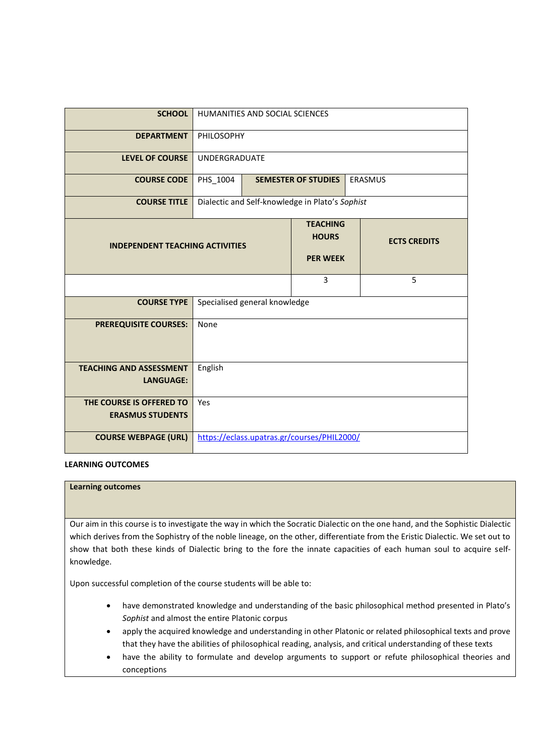| <b>SCHOOL</b>                                       |                                                                           | HUMANITIES AND SOCIAL SCIENCES |                                                 |  |                |
|-----------------------------------------------------|---------------------------------------------------------------------------|--------------------------------|-------------------------------------------------|--|----------------|
| <b>DEPARTMENT</b>                                   |                                                                           | <b>PHILOSOPHY</b>              |                                                 |  |                |
| <b>LEVEL OF COURSE</b>                              | <b>UNDERGRADUATE</b>                                                      |                                |                                                 |  |                |
| <b>COURSE CODE</b>                                  | PHS_1004                                                                  |                                | <b>SEMESTER OF STUDIES</b>                      |  | <b>ERASMUS</b> |
| <b>COURSE TITLE</b>                                 |                                                                           |                                | Dialectic and Self-knowledge in Plato's Sophist |  |                |
| <b>INDEPENDENT TEACHING ACTIVITIES</b>              | <b>TEACHING</b><br><b>HOURS</b><br><b>ECTS CREDITS</b><br><b>PER WEEK</b> |                                |                                                 |  |                |
|                                                     | 5<br>3                                                                    |                                |                                                 |  |                |
| <b>COURSE TYPE</b>                                  | Specialised general knowledge                                             |                                |                                                 |  |                |
| <b>PREREQUISITE COURSES:</b>                        | None                                                                      |                                |                                                 |  |                |
| <b>TEACHING AND ASSESSMENT</b><br><b>LANGUAGE:</b>  | English                                                                   |                                |                                                 |  |                |
| THE COURSE IS OFFERED TO<br><b>ERASMUS STUDENTS</b> | Yes                                                                       |                                |                                                 |  |                |
| <b>COURSE WEBPAGE (URL)</b>                         | https://eclass.upatras.gr/courses/PHIL2000/                               |                                |                                                 |  |                |

**Learning outcomes**

Our aim in this course is to investigate the way in which the Socratic Dialectic on the one hand, and the Sophistic Dialectic which derives from the Sophistry of the noble lineage, on the other, differentiate from the Eristic Dialectic. We set out to show that both these kinds of Dialectic bring to the fore the innate capacities of each human soul to acquire selfknowledge.

Upon successful completion of the course students will be able to:

- have demonstrated knowledge and understanding of the basic philosophical method presented in Plato's *Sophist* and almost the entire Platonic corpus
- apply the acquired knowledge and understanding in other Platonic or related philosophical texts and prove that they have the abilities of philosophical reading, analysis, and critical understanding of these texts
- have the ability to formulate and develop arguments to support or refute philosophical theories and conceptions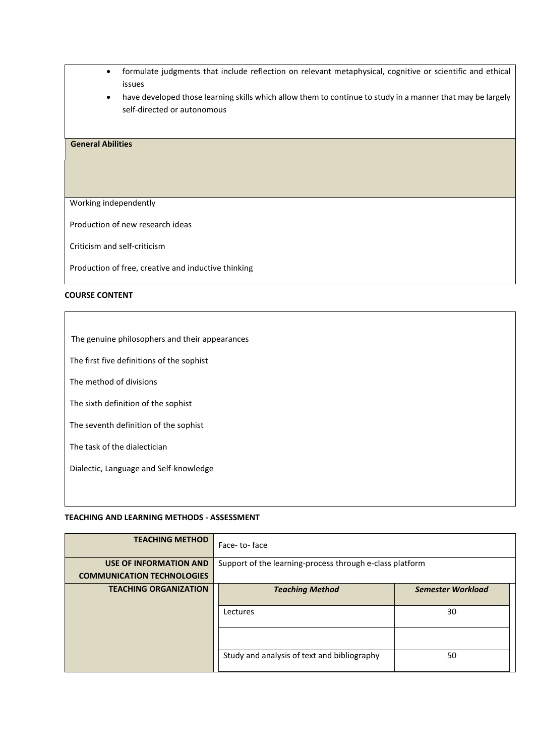- formulate judgments that include reflection on relevant metaphysical, cognitive or scientific and ethical issues
- have developed those learning skills which allow them to continue to study in a manner that may be largely self-directed or autonomous

### **General Abilities**

Working independently

Production of new research ideas

Criticism and self-criticism

Production of free, creative and inductive thinking

#### **COURSE CONTENT**

The genuine philosophers and their appearances

The first five definitions of the sophist

The method of divisions

The sixth definition of the sophist

The seventh definition of the sophist

The task of the dialectician

Dialectic, Language and Self-knowledge

### **TEACHING AND LEARNING METHODS - ΑSSESSMENT**

| <b>TEACHING METHOD</b>            | Face-to-face                                             |                          |  |  |
|-----------------------------------|----------------------------------------------------------|--------------------------|--|--|
| USE OF INFORMATION AND            | Support of the learning-process through e-class platform |                          |  |  |
| <b>COMMUNICATION TECHNOLOGIES</b> |                                                          |                          |  |  |
| <b>TEACHING ORGANIZATION</b>      | <b>Teaching Method</b>                                   | <b>Semester Workload</b> |  |  |
|                                   | 30<br>Lectures                                           |                          |  |  |
|                                   |                                                          |                          |  |  |
|                                   | Study and analysis of text and bibliography              | 50                       |  |  |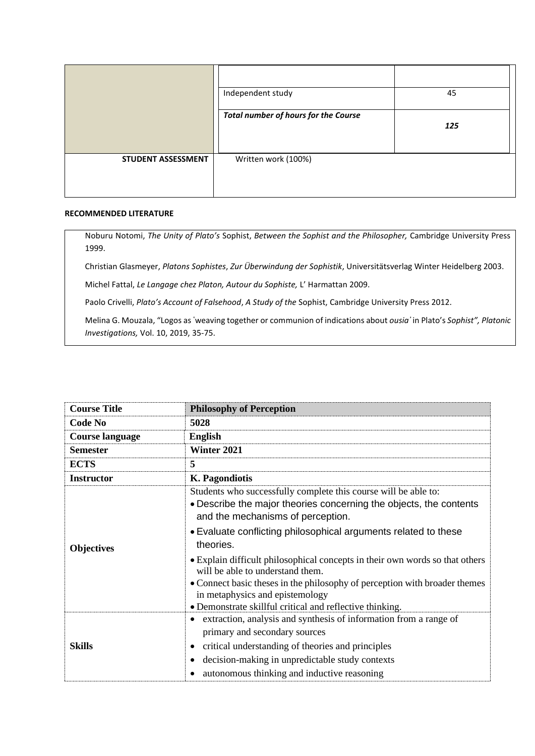|                    | Independent study                           | 45  |
|--------------------|---------------------------------------------|-----|
|                    | <b>Total number of hours for the Course</b> | 125 |
| STUDENT ASSESSMENT | Written work (100%)                         |     |

### **RECOMMENDED LITERATURE**

Noburu Notomi, *The Unity of Plato's* Sophist, *Between the Sophist and the Philosopher,* Cambridge University Press 1999.

Christian Glasmeyer, *Platons Sophistes*, *Zur Überwindung der Sophistik*, Universitätsverlag Winter Heidelberg 2003.

Michel Fattal, *Le Langage chez Platon, Autour du Sophiste,* L' Harmattan 2009.

Paolo Crivelli, *Plato's Account of Falsehood*, *A Study of the* Sophist, Cambridge University Press 2012.

Melina G. Mouzala, "Logos as ῾weaving together or communion of indications about *ousia᾿* in Plato's *Sophist", Platonic Investigations,* Vol. 10, 2019, 35-75.

| <b>Course Title</b>    | <b>Philosophy of Perception</b>                                                                                                                                            |  |  |
|------------------------|----------------------------------------------------------------------------------------------------------------------------------------------------------------------------|--|--|
| <b>Code No</b>         | 5028                                                                                                                                                                       |  |  |
| <b>Course language</b> | <b>English</b>                                                                                                                                                             |  |  |
| <b>Semester</b>        | Winter 2021                                                                                                                                                                |  |  |
| <b>ECTS</b>            | 5                                                                                                                                                                          |  |  |
| <b>Instructor</b>      | K. Pagondiotis                                                                                                                                                             |  |  |
|                        | Students who successfully complete this course will be able to:<br>• Describe the major theories concerning the objects, the contents<br>and the mechanisms of perception. |  |  |
| <b>Objectives</b>      | • Evaluate conflicting philosophical arguments related to these<br>theories.                                                                                               |  |  |
|                        | • Explain difficult philosophical concepts in their own words so that others<br>will be able to understand them.                                                           |  |  |
|                        | • Connect basic theses in the philosophy of perception with broader themes<br>in metaphysics and epistemology                                                              |  |  |
|                        | • Demonstrate skillful critical and reflective thinking.                                                                                                                   |  |  |
|                        | extraction, analysis and synthesis of information from a range of<br>primary and secondary sources                                                                         |  |  |
| <b>Skills</b>          | critical understanding of theories and principles<br>٠                                                                                                                     |  |  |
|                        | decision-making in unpredictable study contexts                                                                                                                            |  |  |
|                        | autonomous thinking and inductive reasoning                                                                                                                                |  |  |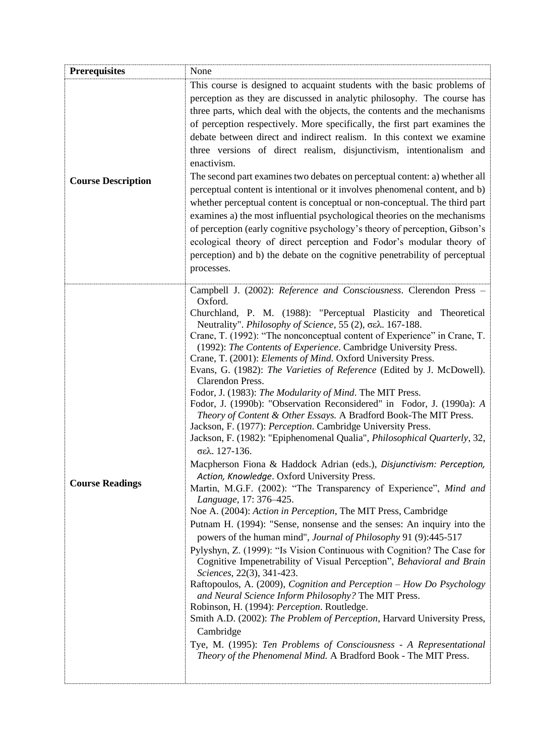| <b>Prerequisites</b>      | None                                                                                                                                                                                                                                                                                                                                                                                                                                                                                                                                                                                                                                                                                                                                                                                                                                                                                                                                                                                                                                                                                                                                                                                                                                                                                                                                                                                                                                                                                                                                                                                                                                                                                                                                                                                                                                                                                                                                 |
|---------------------------|--------------------------------------------------------------------------------------------------------------------------------------------------------------------------------------------------------------------------------------------------------------------------------------------------------------------------------------------------------------------------------------------------------------------------------------------------------------------------------------------------------------------------------------------------------------------------------------------------------------------------------------------------------------------------------------------------------------------------------------------------------------------------------------------------------------------------------------------------------------------------------------------------------------------------------------------------------------------------------------------------------------------------------------------------------------------------------------------------------------------------------------------------------------------------------------------------------------------------------------------------------------------------------------------------------------------------------------------------------------------------------------------------------------------------------------------------------------------------------------------------------------------------------------------------------------------------------------------------------------------------------------------------------------------------------------------------------------------------------------------------------------------------------------------------------------------------------------------------------------------------------------------------------------------------------------|
| <b>Course Description</b> | This course is designed to acquaint students with the basic problems of<br>perception as they are discussed in analytic philosophy. The course has<br>three parts, which deal with the objects, the contents and the mechanisms<br>of perception respectively. More specifically, the first part examines the<br>debate between direct and indirect realism. In this context we examine<br>three versions of direct realism, disjunctivism, intentionalism and<br>enactivism.<br>The second part examines two debates on perceptual content: a) whether all<br>perceptual content is intentional or it involves phenomenal content, and b)<br>whether perceptual content is conceptual or non-conceptual. The third part<br>examines a) the most influential psychological theories on the mechanisms<br>of perception (early cognitive psychology's theory of perception, Gibson's<br>ecological theory of direct perception and Fodor's modular theory of<br>perception) and b) the debate on the cognitive penetrability of perceptual<br>processes.                                                                                                                                                                                                                                                                                                                                                                                                                                                                                                                                                                                                                                                                                                                                                                                                                                                                              |
| <b>Course Readings</b>    | Campbell J. (2002): Reference and Consciousness. Clerendon Press -<br>Oxford.<br>Churchland, P. M. (1988): "Perceptual Plasticity and Theoretical<br>Neutrality". Philosophy of Science, 55 (2), σελ. 167-188.<br>Crane, T. (1992): "The nonconceptual content of Experience" in Crane, T.<br>(1992): The Contents of Experience. Cambridge University Press.<br>Crane, T. (2001): Elements of Mind. Oxford University Press.<br>Evans, G. (1982): The Varieties of Reference (Edited by J. McDowell).<br>Clarendon Press.<br>Fodor, J. (1983): The Modularity of Mind. The MIT Press.<br>Fodor, J. (1990b): "Observation Reconsidered" in Fodor, J. (1990a): A<br>Theory of Content & Other Essays. A Bradford Book-The MIT Press.<br>Jackson, F. (1977): Perception. Cambridge University Press.<br>Jackson, F. (1982): "Epiphenomenal Qualia", Philosophical Quarterly, 32,<br>σελ. 127-136.<br>Macpherson Fiona & Haddock Adrian (eds.), Disjunctivism: Perception,<br>Action, Knowledge. Oxford University Press.<br>Martin, M.G.F. (2002): "The Transparency of Experience", Mind and<br>Language, 17: 376–425.<br>Noe A. (2004): Action in Perception, The MIT Press, Cambridge<br>Putnam H. (1994): "Sense, nonsense and the senses: An inquiry into the<br>powers of the human mind", Journal of Philosophy 91 (9):445-517<br>Pylyshyn, Z. (1999): "Is Vision Continuous with Cognition? The Case for<br>Cognitive Impenetrability of Visual Perception", Behavioral and Brain<br>Sciences, 22(3), 341-423.<br>Raftopoulos, A. (2009), Cognition and Perception - How Do Psychology<br>and Neural Science Inform Philosophy? The MIT Press.<br>Robinson, H. (1994): Perception. Routledge.<br>Smith A.D. (2002): The Problem of Perception, Harvard University Press,<br>Cambridge<br>Tye, M. (1995): Ten Problems of Consciousness - A Representational<br>Theory of the Phenomenal Mind. A Bradford Book - The MIT Press. |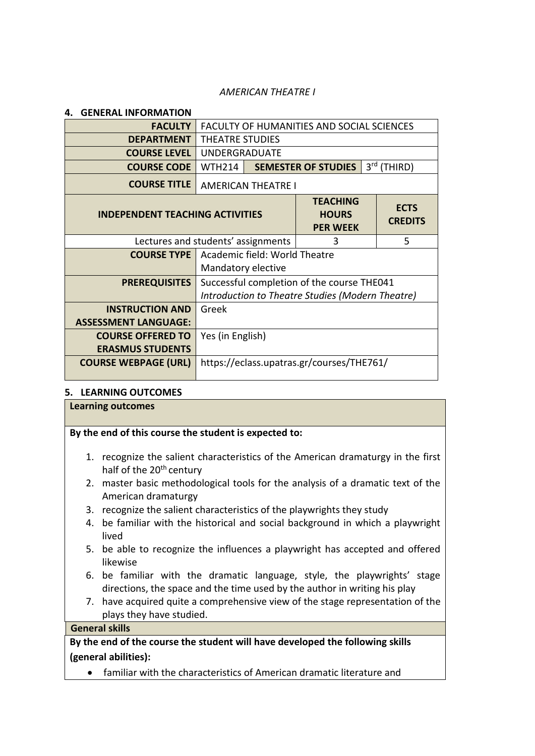## *AMERICAN THEATRE I*

| 4. | <b>GENERAL INFORMATION</b>             |                                                                   |                                                  |                                                  |  |                |
|----|----------------------------------------|-------------------------------------------------------------------|--------------------------------------------------|--------------------------------------------------|--|----------------|
|    | <b>FACULTY</b>                         |                                                                   | <b>FACULTY OF HUMANITIES AND SOCIAL SCIENCES</b> |                                                  |  |                |
|    | <b>DEPARTMENT</b>                      | THEATRE STUDIES                                                   |                                                  |                                                  |  |                |
|    | <b>COURSE LEVEL</b>                    | <b>UNDERGRADUATE</b>                                              |                                                  |                                                  |  |                |
|    | <b>COURSE CODE</b>                     | <b>WTH214</b>                                                     |                                                  | <b>SEMESTER OF STUDIES</b>                       |  | 3rd (THIRD)    |
|    | <b>COURSE TITLE</b>                    | <b>AMERICAN THEATRE I</b>                                         |                                                  |                                                  |  |                |
|    | <b>INDEPENDENT TEACHING ACTIVITIES</b> | <b>TEACHING</b><br><b>ECTS</b><br><b>HOURS</b><br><b>PER WEEK</b> |                                                  |                                                  |  | <b>CREDITS</b> |
|    |                                        | 5<br>Lectures and students' assignments<br>3                      |                                                  |                                                  |  |                |
|    | <b>COURSE TYPE</b>                     |                                                                   | Academic field: World Theatre                    |                                                  |  |                |
|    |                                        | Mandatory elective                                                |                                                  |                                                  |  |                |
|    | <b>PREREQUISITES</b>                   |                                                                   |                                                  | Successful completion of the course THE041       |  |                |
|    |                                        |                                                                   |                                                  | Introduction to Theatre Studies (Modern Theatre) |  |                |
|    | <b>INSTRUCTION AND</b>                 | Greek                                                             |                                                  |                                                  |  |                |
|    | <b>ASSESSMENT LANGUAGE:</b>            |                                                                   |                                                  |                                                  |  |                |
|    | <b>COURSE OFFERED TO</b>               | Yes (in English)                                                  |                                                  |                                                  |  |                |
|    | <b>ERASMUS STUDENTS</b>                |                                                                   |                                                  |                                                  |  |                |
|    | <b>COURSE WEBPAGE (URL)</b>            | https://eclass.upatras.gr/courses/THE761/                         |                                                  |                                                  |  |                |

## **5. LEARNING OUTCOMES**

| <b>Learning outcomes</b>                                                                                                                              |                                                       |  |  |  |  |  |
|-------------------------------------------------------------------------------------------------------------------------------------------------------|-------------------------------------------------------|--|--|--|--|--|
|                                                                                                                                                       | By the end of this course the student is expected to: |  |  |  |  |  |
| 1. recognize the salient characteristics of the American dramaturgy in the first<br>half of the 20 <sup>th</sup> century                              |                                                       |  |  |  |  |  |
| 2. master basic methodological tools for the analysis of a dramatic text of the<br>American dramaturgy                                                |                                                       |  |  |  |  |  |
| 3. recognize the salient characteristics of the playwrights they study                                                                                |                                                       |  |  |  |  |  |
| 4. be familiar with the historical and social background in which a playwright<br>lived                                                               |                                                       |  |  |  |  |  |
| 5. be able to recognize the influences a playwright has accepted and offered<br>likewise                                                              |                                                       |  |  |  |  |  |
| 6. be familiar with the dramatic language, style, the playwrights' stage<br>directions, the space and the time used by the author in writing his play |                                                       |  |  |  |  |  |
| have acquired quite a comprehensive view of the stage representation of the<br>7.<br>plays they have studied.                                         |                                                       |  |  |  |  |  |
| <b>General skills</b>                                                                                                                                 |                                                       |  |  |  |  |  |
| By the end of the course the student will have developed the following skills                                                                         |                                                       |  |  |  |  |  |
| (general abilities):                                                                                                                                  |                                                       |  |  |  |  |  |
| familiar with the characteristics of American dramatic literature and                                                                                 |                                                       |  |  |  |  |  |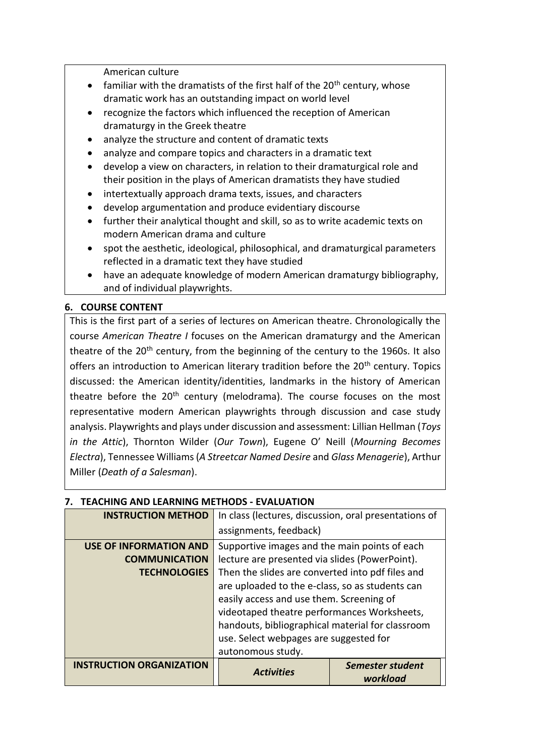American culture

- familiar with the dramatists of the first half of the  $20<sup>th</sup>$  century, whose dramatic work has an outstanding impact on world level
- recognize the factors which influenced the reception of American dramaturgy in the Greek theatre
- analyze the structure and content of dramatic texts
- analyze and compare topics and characters in a dramatic text
- develop a view on characters, in relation to their dramaturgical role and their position in the plays of American dramatists they have studied
- intertextually approach drama texts, issues, and characters
- develop argumentation and produce evidentiary discourse
- further their analytical thought and skill, so as to write academic texts on modern American drama and culture
- spot the aesthetic, ideological, philosophical, and dramaturgical parameters reflected in a dramatic text they have studied
- have an adequate knowledge of modern American dramaturgy bibliography, and of individual playwrights.

# **6. COURSE CONTENT**

This is the first part of a series of lectures on American theatre. Chronologically the course *American Theatre I* focuses on the American dramaturgy and the American theatre of the  $20<sup>th</sup>$  century, from the beginning of the century to the 1960s. It also offers an introduction to American literary tradition before the 20<sup>th</sup> century. Topics discussed: the American identity/identities, landmarks in the history of American theatre before the  $20<sup>th</sup>$  century (melodrama). The course focuses on the most representative modern American playwrights through discussion and case study analysis. Playwrights and plays under discussion and assessment: Lillian Hellman (*Toys in the Attic*), Thornton Wilder (*Our Town*), Eugene O' Neill (*Mourning Becomes Electra*), Tennessee Williams (*A Streetcar Named Desire* and *Glass Menagerie*), Arthur Miller (*Death of a Salesman*).

| <b>INSTRUCTION METHOD</b>       | In class (lectures, discussion, oral presentations of |                  |  |  |  |
|---------------------------------|-------------------------------------------------------|------------------|--|--|--|
|                                 | assignments, feedback)                                |                  |  |  |  |
| <b>USE OF INFORMATION AND</b>   | Supportive images and the main points of each         |                  |  |  |  |
| <b>COMMUNICATION</b>            | lecture are presented via slides (PowerPoint).        |                  |  |  |  |
| <b>TECHNOLOGIES</b>             | Then the slides are converted into pdf files and      |                  |  |  |  |
|                                 | are uploaded to the e-class, so as students can       |                  |  |  |  |
|                                 | easily access and use them. Screening of              |                  |  |  |  |
|                                 | videotaped theatre performances Worksheets,           |                  |  |  |  |
|                                 | handouts, bibliographical material for classroom      |                  |  |  |  |
|                                 | use. Select webpages are suggested for                |                  |  |  |  |
|                                 | autonomous study.                                     |                  |  |  |  |
| <b>INSTRUCTION ORGANIZATION</b> | <b>Activities</b>                                     | Semester student |  |  |  |
|                                 |                                                       | workload         |  |  |  |

# **7. TEACHING AND LEARNING METHODS - EVALUATION**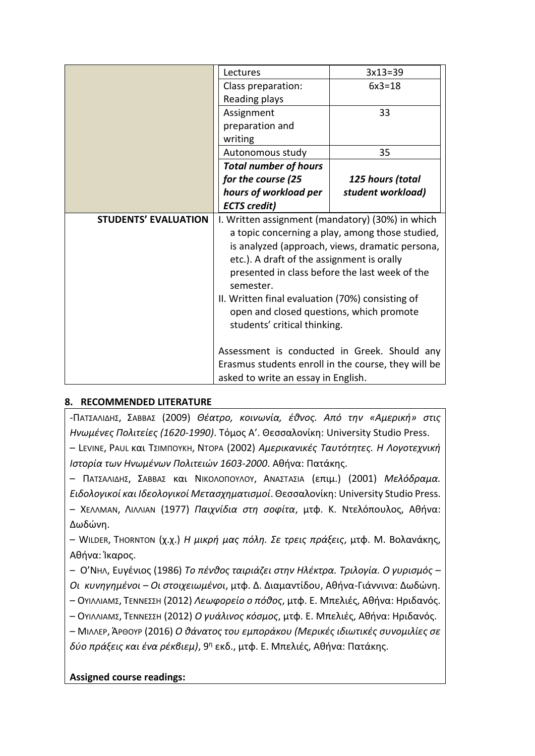|                             | Lectures                                            | $3x13=39$         |  |  |  |
|-----------------------------|-----------------------------------------------------|-------------------|--|--|--|
|                             | Class preparation:                                  | $6x3=18$          |  |  |  |
|                             | Reading plays                                       |                   |  |  |  |
|                             | Assignment                                          | 33                |  |  |  |
|                             | preparation and                                     |                   |  |  |  |
|                             | writing                                             |                   |  |  |  |
|                             | Autonomous study                                    | 35                |  |  |  |
|                             | <b>Total number of hours</b>                        |                   |  |  |  |
|                             | for the course (25                                  | 125 hours (total  |  |  |  |
|                             | hours of workload per                               | student workload) |  |  |  |
|                             | <b>ECTS</b> credit)                                 |                   |  |  |  |
| <b>STUDENTS' EVALUATION</b> | I. Written assignment (mandatory) (30%) in which    |                   |  |  |  |
|                             | a topic concerning a play, among those studied,     |                   |  |  |  |
|                             | is analyzed (approach, views, dramatic persona,     |                   |  |  |  |
|                             | etc.). A draft of the assignment is orally          |                   |  |  |  |
|                             | presented in class before the last week of the      |                   |  |  |  |
|                             | semester.                                           |                   |  |  |  |
|                             | II. Written final evaluation (70%) consisting of    |                   |  |  |  |
|                             | open and closed questions, which promote            |                   |  |  |  |
|                             | students' critical thinking.                        |                   |  |  |  |
|                             |                                                     |                   |  |  |  |
|                             | Assessment is conducted in Greek. Should any        |                   |  |  |  |
|                             | Erasmus students enroll in the course, they will be |                   |  |  |  |
|                             | asked to write an essay in English.                 |                   |  |  |  |

# **8. RECOMMENDED LITERATURE**

-ΠΑΤΣΑΛΙΔΗΣ, ΣΑΒΒΑΣ (2009) *Θέατρο, κοινωνία, έθνος. Από την «Αμερική» στις Ηνωμένες Πολιτείες (1620-1990)*. Τόμος Α'. Θεσσαλονίκη: University Studio Press.

– LEVINE, PAUL και ΤΣΙΜΠΟΥΚΗ, ΝΤΟΡΑ (2002) *Αμερικανικές Ταυτότητες. Η Λογοτεχνική Ιστορία των Ηνωμένων Πολιτειών 1603-2000*. Αθήνα: Πατάκης.

– ΠΑΤΣΑΛΙΔΗΣ, ΣΑΒΒΑΣ και ΝΙΚΟΛΟΠΟΥΛΟΥ, ΑΝΑΣΤΑΣΙΑ (επιμ.) (2001) *Μελόδραμα. Ειδολογικοί και Ιδεολογικοί Μετασχηματισμοί*. Θεσσαλονίκη: University Studio Press. – ΧΕΛΛΜΑΝ, ΛΙΛΛΙΑΝ (1977) *Παιχνίδια στη σοφίτα*, μτφ. Κ. Ντελόπουλος, Αθήνα: Δωδώνη.

– WILDER, THORNTON (χ.χ.) *Η μικρή μας πόλη. Σε τρεις πράξεις*, μτφ. Μ. Βολανάκης, Αθήνα: Ίκαρος.

– Ο'ΝΗΛ, Ευγένιος (1986) *Το πένθος ταιριάζει στην Ηλέκτρα. Τριλογία. Ο γυρισμός – Οι κυνηγημένοι – Οι στοιχειωμένοι*, μτφ. Δ. Διαμαντίδου, Αθήνα-Γιάννινα: Δωδώνη.

– ΟΥΙΛΛΙΑΜΣ, ΤΕΝΝΕΣΣΗ (2012) *Λεωφορείο ο πόθος*, μτφ. Ε. Μπελιές, Αθήνα: Ηριδανός.

– ΟΥΙΛΛΙΑΜΣ, ΤΕΝΝΕΣΣΗ (2012) *Ο γυάλινος κόσμος*, μτφ. Ε. Μπελιές, Αθήνα: Ηριδανός.

– ΜΙΛΛΕΡ, ΆΡΘΟΥΡ (2016) *Ο θάνατος του εμποράκου (Μερικές ιδιωτικές συνομιλίες σε δύο πράξεις και ένα ρέκβιεμ)*, 9<sup>η</sup> εκδ., μτφ. Ε. Μπελιές, Αθήνα: Πατάκης.

# **Assigned course readings:**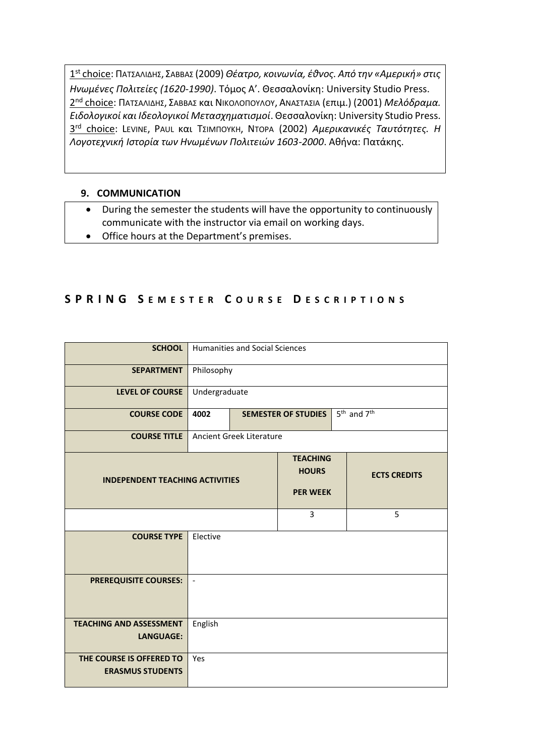1 st choice: ΠΑΤΣΑΛΙΔΗΣ, ΣΑΒΒΑΣ (2009) *Θέατρο, κοινωνία, έθνος. Από την «Αμερική» στις Ηνωμένες Πολιτείες (1620-1990)*. Τόμος Α'. Θεσσαλονίκη: University Studio Press. 2 nd choice: ΠΑΤΣΑΛΙΔΗΣ, ΣΑΒΒΑΣ και ΝΙΚΟΛΟΠΟΥΛΟΥ, ΑΝΑΣΤΑΣΙΑ (επιμ.) (2001) *Μελόδραμα. Ειδολογικοί και Ιδεολογικοί Μετασχηματισμοί*. Θεσσαλονίκη: University Studio Press. 3 rd choice: LEVINE, PAUL και ΤΣΙΜΠΟΥΚΗ, ΝΤΟΡΑ (2002) *Αμερικανικές Ταυτότητες. Η Λογοτεχνική Ιστορία των Ηνωμένων Πολιτειών 1603-2000*. Αθήνα: Πατάκης.

# **9. COMMUNICATION**

- During the semester the students will have the opportunity to continuously communicate with the instructor via email on working days.
- Office hours at the Department's premises.

# **S P R I N G S E M E S T E R C O U R S E D E S C R I P T I O N S**

| <b>SCHOOL</b>                                       |                                                                           | <b>Humanities and Social Sciences</b>              |   |                     |   |
|-----------------------------------------------------|---------------------------------------------------------------------------|----------------------------------------------------|---|---------------------|---|
| <b>SEPARTMENT</b>                                   |                                                                           | Philosophy                                         |   |                     |   |
| <b>LEVEL OF COURSE</b>                              | Undergraduate                                                             |                                                    |   |                     |   |
| <b>COURSE CODE</b>                                  | 5 <sup>th</sup> and 7 <sup>th</sup><br>4002<br><b>SEMESTER OF STUDIES</b> |                                                    |   |                     |   |
| <b>COURSE TITLE</b>                                 | Ancient Greek Literature                                                  |                                                    |   |                     |   |
| <b>INDEPENDENT TEACHING ACTIVITIES</b>              |                                                                           | <b>TEACHING</b><br><b>HOURS</b><br><b>PER WEEK</b> |   | <b>ECTS CREDITS</b> |   |
|                                                     |                                                                           |                                                    | 3 |                     | 5 |
| <b>COURSE TYPE</b>                                  | Elective                                                                  |                                                    |   |                     |   |
| <b>PREREQUISITE COURSES:</b>                        | $\bar{\phantom{a}}$                                                       |                                                    |   |                     |   |
| <b>TEACHING AND ASSESSMENT</b><br><b>LANGUAGE:</b>  | English                                                                   |                                                    |   |                     |   |
| THE COURSE IS OFFERED TO<br><b>ERASMUS STUDENTS</b> | Yes                                                                       |                                                    |   |                     |   |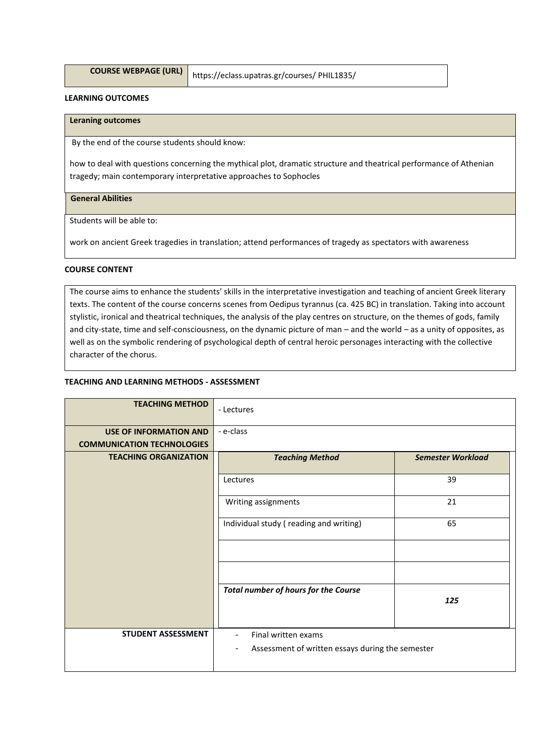|  | COURSE WEBPAGE (URL |  |
|--|---------------------|--|
|--|---------------------|--|

**COURSE WEBPAGE (URL)** https://eclass.upatras.gr/courses/ PHIL1835/

#### **LEARNING OUTCOMES**

### **Leraning outcomes**

By the end of the course students should know:

how to deal with questions concerning the mythical plot, dramatic structure and theatrical performance of Athenian tragedy; main contemporary interpretative approaches to Sophocles

#### **General Abilities**

Students will be able to:

work on ancient Greek tragedies in translation; attend performances of tragedy as spectators with awareness

#### **COURSE CONTENT**

The course aims to enhance the students' skills in the interpretative investigation and teaching of ancient Greek literary texts. The content of the course concerns scenes from Oedipus tyrannus (ca. 425 BC) in translation. Taking into account stylistic, ironical and theatrical techniques, the analysis of the play centres on structure, on the themes of gods, family and city-state, time and self-consciousness, on the dynamic picture of man – and the world – as a unity of opposites, as well as on the symbolic rendering of psychological depth of central heroic personages interacting with the collective character of the chorus.

### **TEACHING AND LEARNING METHODS - ΑSSESSMENT**

| <b>TEACHING METHOD</b>                                             | - Lectures                                                                                                                      |                          |  |  |  |
|--------------------------------------------------------------------|---------------------------------------------------------------------------------------------------------------------------------|--------------------------|--|--|--|
| <b>USE OF INFORMATION AND</b><br><b>COMMUNICATION TECHNOLOGIES</b> | - e-class                                                                                                                       |                          |  |  |  |
|                                                                    |                                                                                                                                 |                          |  |  |  |
| <b>TEACHING ORGANIZATION</b>                                       | <b>Teaching Method</b>                                                                                                          | <b>Semester Workload</b> |  |  |  |
|                                                                    | Lectures                                                                                                                        | 39                       |  |  |  |
|                                                                    | Writing assignments                                                                                                             | 21                       |  |  |  |
|                                                                    | Individual study (reading and writing)<br>65                                                                                    |                          |  |  |  |
|                                                                    |                                                                                                                                 |                          |  |  |  |
|                                                                    | <b>Total number of hours for the Course</b>                                                                                     | 125                      |  |  |  |
| STUDENT ASSESSMENT                                                 | Final written exams<br>$\overline{\phantom{a}}$<br>Assessment of written essays during the semester<br>$\overline{\phantom{a}}$ |                          |  |  |  |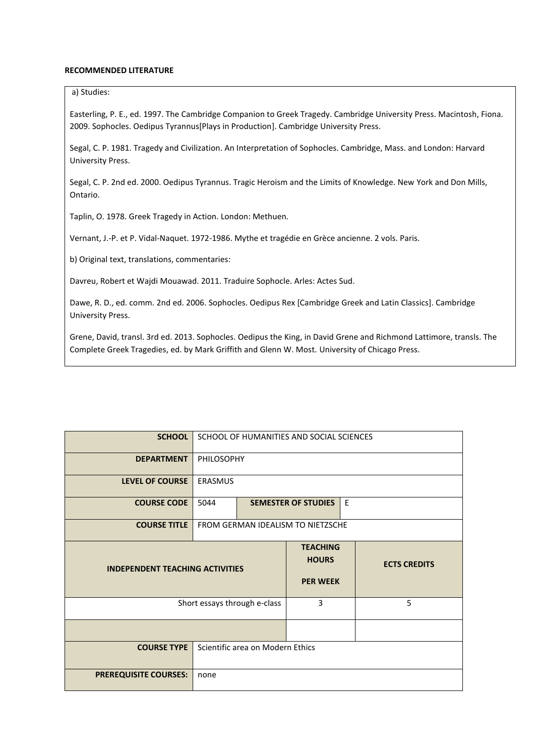#### **RECOMMENDED LITERATURE**

## a) Studies:

Easterling, P. E., ed. 1997. The Cambridge Companion to Greek Tragedy. Cambridge University Press. Macintosh, Fiona. 2009. Sophocles. Oedipus Tyrannus[Plays in Production]. Cambridge University Press.

Segal, C. P. 1981. Tragedy and Civilization. An Interpretation of Sophocles. Cambridge, Mass. and London: Harvard University Press.

Segal, C. P. 2nd ed. 2000. Oedipus Tyrannus. Tragic Heroism and the Limits of Knowledge. New York and Don Mills, Ontario.

Taplin, O. 1978. Greek Tragedy in Action. London: Methuen.

Vernant, J.-P. et P. Vidal-Naquet. 1972-1986. Mythe et tragédie en Grèce ancienne. 2 vols. Paris.

b) Original text, translations, commentaries:

Davreu, Robert et Wajdi Mouawad. 2011. Traduire Sophocle. Arles: Actes Sud.

Dawe, R. D., ed. comm. 2nd ed. 2006. Sophocles. Oedipus Rex [Cambridge Greek and Latin Classics]. Cambridge University Press.

Grene, David, transl. 3rd ed. 2013. Sophocles. Oedipus the King, in David Grene and Richmond Lattimore, transls. The Complete Greek Tragedies, ed. by Mark Griffith and Glenn W. Most. University of Chicago Press.

| <b>SCHOOL</b>                          | SCHOOL OF HUMANITIES AND SOCIAL SCIENCES |                                                    |  |                     |  |
|----------------------------------------|------------------------------------------|----------------------------------------------------|--|---------------------|--|
| <b>DEPARTMENT</b>                      |                                          | <b>PHILOSOPHY</b>                                  |  |                     |  |
| <b>LEVEL OF COURSE</b>                 | ERASMUS                                  |                                                    |  |                     |  |
| <b>COURSE CODE</b>                     | E<br>5044<br><b>SEMESTER OF STUDIES</b>  |                                                    |  |                     |  |
| <b>COURSE TITLE</b>                    | FROM GERMAN IDEALISM TO NIETZSCHE        |                                                    |  |                     |  |
| <b>INDEPENDENT TEACHING ACTIVITIES</b> |                                          | <b>TEACHING</b><br><b>HOURS</b><br><b>PER WEEK</b> |  | <b>ECTS CREDITS</b> |  |
| Short essays through e-class           |                                          | 3                                                  |  | 5                   |  |
|                                        |                                          |                                                    |  |                     |  |
| <b>COURSE TYPE</b>                     | Scientific area on Modern Ethics         |                                                    |  |                     |  |
| <b>PREREQUISITE COURSES:</b>           | none                                     |                                                    |  |                     |  |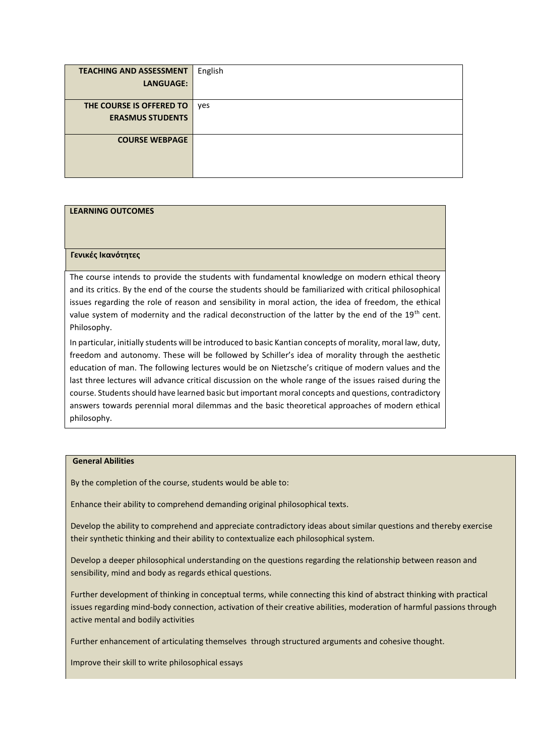| <b>TEACHING AND ASSESSMENT</b> | English |
|--------------------------------|---------|
| <b>LANGUAGE:</b>               |         |
|                                |         |
| THE COURSE IS OFFERED TO       | yes     |
| <b>ERASMUS STUDENTS</b>        |         |
|                                |         |
| <b>COURSE WEBPAGE</b>          |         |
|                                |         |
|                                |         |
|                                |         |

#### **Γενικές Ικανότητες**

The course intends to provide the students with fundamental knowledge on modern ethical theory and its critics. By the end of the course the students should be familiarized with critical philosophical issues regarding the role of reason and sensibility in moral action, the idea of freedom, the ethical value system of modernity and the radical deconstruction of the latter by the end of the  $19<sup>th</sup>$  cent. Philosophy.

In particular, initially students will be introduced to basic Kantian concepts of morality, moral law, duty, freedom and autonomy. These will be followed by Schiller's idea of morality through the aesthetic education of man. The following lectures would be on Nietzsche's critique of modern values and the last three lectures will advance critical discussion on the whole range of the issues raised during the course. Students should have learned basic but important moral concepts and questions, contradictory answers towards perennial moral dilemmas and the basic theoretical approaches of modern ethical philosophy.

#### **General Abilities**

By the completion of the course, students would be able to:

Enhance their ability to comprehend demanding original philosophical texts.

Develop the ability to comprehend and appreciate contradictory ideas about similar questions and thereby exercise their synthetic thinking and their ability to contextualize each philosophical system.

Develop a deeper philosophical understanding on the questions regarding the relationship between reason and sensibility, mind and body as regards ethical questions.

Further development of thinking in conceptual terms, while connecting this kind of abstract thinking with practical issues regarding mind-body connection, activation of their creative abilities, moderation of harmful passions through active mental and bodily activities

Further enhancement of articulating themselves through structured arguments and cohesive thought.

Improve their skill to write philosophical essays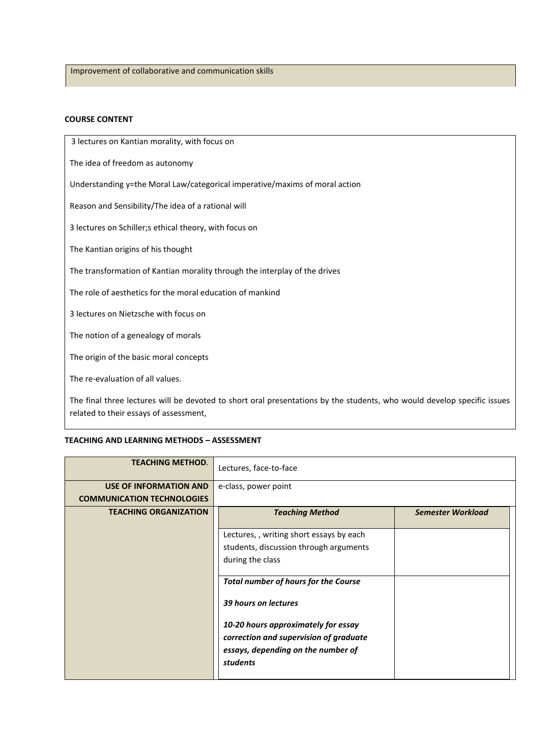Improvement of collaborative and communication skills

## **COURSE CONTENT**

3 lectures on Kantian morality, with focus on

The idea of freedom as autonomy

Understanding y=the Moral Law/categorical imperative/maxims of moral action

Reason and Sensibility/The idea of a rational will

3 lectures on Schiller;s ethical theory, with focus on

The Kantian origins of his thought

The transformation of Kantian morality through the interplay of the drives

The role of aesthetics for the moral education of mankind

3 lectures on Nietzsche with focus on

The notion of a genealogy of morals

The origin of the basic moral concepts

The re-evaluation of all values.

The final three lectures will be devoted to short oral presentations by the students, who would develop specific issues related to their essays of assessment,

### **TEACHING AND LEARNING METHODS – ΑSSESSMENT**

| <b>TEACHING METHOD.</b>           | Lectures, face-to-face                      |                          |  |  |
|-----------------------------------|---------------------------------------------|--------------------------|--|--|
| <b>USE OF INFORMATION AND</b>     | e-class, power point                        |                          |  |  |
| <b>COMMUNICATION TECHNOLOGIES</b> |                                             |                          |  |  |
| <b>TEACHING ORGANIZATION</b>      | <b>Teaching Method</b>                      | <b>Semester Workload</b> |  |  |
|                                   |                                             |                          |  |  |
|                                   | Lectures,, writing short essays by each     |                          |  |  |
|                                   | students, discussion through arguments      |                          |  |  |
|                                   | during the class                            |                          |  |  |
|                                   |                                             |                          |  |  |
|                                   | <b>Total number of hours for the Course</b> |                          |  |  |
|                                   |                                             |                          |  |  |
|                                   | 39 hours on lectures                        |                          |  |  |
|                                   |                                             |                          |  |  |
|                                   | 10-20 hours approximately for essay         |                          |  |  |
|                                   | correction and supervision of graduate      |                          |  |  |
|                                   | essays, depending on the number of          |                          |  |  |
|                                   | <b>students</b>                             |                          |  |  |
|                                   |                                             |                          |  |  |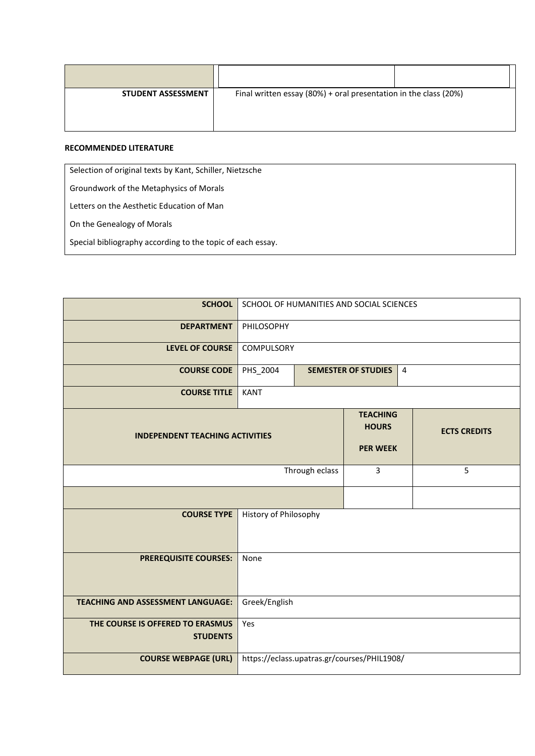| <b>STUDENT ASSESSMENT</b> | Final written essay (80%) + oral presentation in the class (20%) |
|---------------------------|------------------------------------------------------------------|
|                           |                                                                  |

## **RECOMMENDED LITERATURE**

Selection of original texts by Kant, Schiller, Nietzsche

Groundwork of the Metaphysics of Morals

Letters on the Aesthetic Education of Man

On the Genealogy of Morals

Special bibliography according to the topic of each essay.

| <b>SCHOOL</b>                                       |                                             |                                              | SCHOOL OF HUMANITIES AND SOCIAL SCIENCES           |  |                     |
|-----------------------------------------------------|---------------------------------------------|----------------------------------------------|----------------------------------------------------|--|---------------------|
| <b>DEPARTMENT</b>                                   | PHILOSOPHY                                  |                                              |                                                    |  |                     |
| <b>LEVEL OF COURSE</b>                              | COMPULSORY                                  |                                              |                                                    |  |                     |
| <b>COURSE CODE</b>                                  | PHS_2004                                    | $\overline{4}$<br><b>SEMESTER OF STUDIES</b> |                                                    |  |                     |
| <b>COURSE TITLE</b>                                 | <b>KANT</b>                                 |                                              |                                                    |  |                     |
| <b>INDEPENDENT TEACHING ACTIVITIES</b>              |                                             |                                              | <b>TEACHING</b><br><b>HOURS</b><br><b>PER WEEK</b> |  | <b>ECTS CREDITS</b> |
| Through eclass                                      |                                             |                                              | 3                                                  |  | 5                   |
|                                                     |                                             |                                              |                                                    |  |                     |
| <b>COURSE TYPE</b>                                  | History of Philosophy                       |                                              |                                                    |  |                     |
| <b>PREREQUISITE COURSES:</b>                        | None                                        |                                              |                                                    |  |                     |
| <b>TEACHING AND ASSESSMENT LANGUAGE:</b>            | Greek/English                               |                                              |                                                    |  |                     |
| THE COURSE IS OFFERED TO ERASMUS<br><b>STUDENTS</b> | Yes                                         |                                              |                                                    |  |                     |
| <b>COURSE WEBPAGE (URL)</b>                         | https://eclass.upatras.gr/courses/PHIL1908/ |                                              |                                                    |  |                     |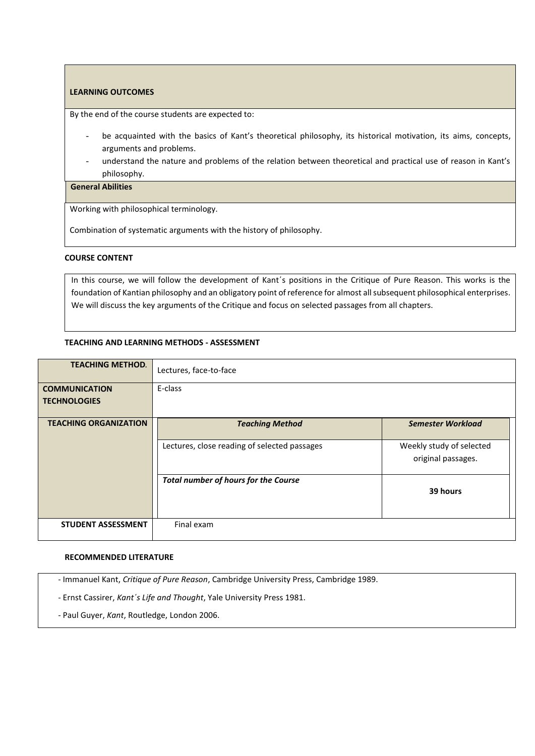By the end of the course students are expected to:

- be acquainted with the basics of Kant's theoretical philosophy, its historical motivation, its aims, concepts, arguments and problems.
- understand the nature and problems of the relation between theoretical and practical use of reason in Kant's philosophy.

## **General Abilities**

Working with philosophical terminology.

Combination of systematic arguments with the history of philosophy.

#### **COURSE CONTENT**

In this course, we will follow the development of Kant΄s positions in the Critique of Pure Reason. This works is the foundation of Kantian philosophy and an obligatory point of reference for almost all subsequent philosophical enterprises. We will discuss the key arguments of the Critique and focus on selected passages from all chapters.

## **TEACHING AND LEARNING METHODS - ΑSSESSMENT**

| <b>TEACHING METHOD.</b>      | Lectures, face-to-face                       |                                                |
|------------------------------|----------------------------------------------|------------------------------------------------|
| <b>COMMUNICATION</b>         | E-class                                      |                                                |
| <b>TECHNOLOGIES</b>          |                                              |                                                |
| <b>TEACHING ORGANIZATION</b> | <b>Teaching Method</b>                       | <b>Semester Workload</b>                       |
|                              | Lectures, close reading of selected passages | Weekly study of selected<br>original passages. |
|                              | <b>Total number of hours for the Course</b>  | 39 hours                                       |
| <b>STUDENT ASSESSMENT</b>    | Final exam                                   |                                                |

### **RECOMMENDED LITERATURE**

- Immanuel Kant, *Critique of Pure Reason*, Cambridge University Press, Cambridge 1989.

- Ernst Cassirer, *Kant΄s Life and Thought*, Yale University Press 1981.

- Paul Guyer, *Kant*, Routledge, London 2006.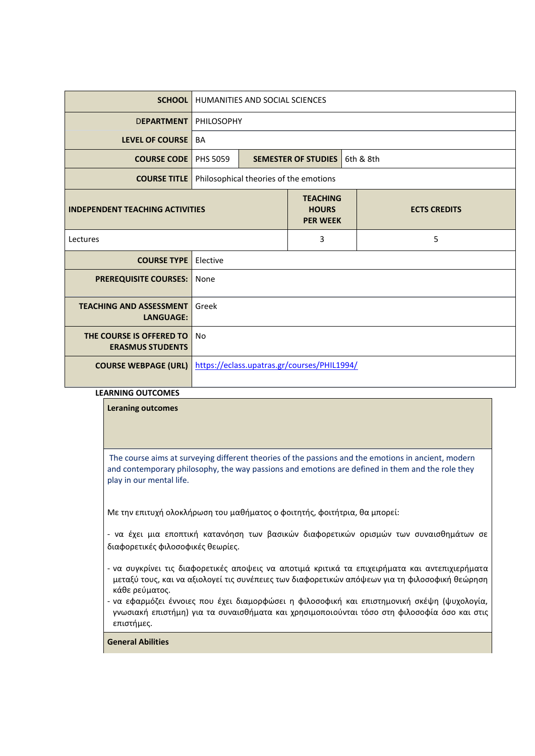| <b>SCHOOL</b>                                       |                                                                           | <b>HUMANITIES AND SOCIAL SCIENCES</b> |                                        |  |           |
|-----------------------------------------------------|---------------------------------------------------------------------------|---------------------------------------|----------------------------------------|--|-----------|
| <b>DEPARTMENT</b>                                   | PHILOSOPHY                                                                |                                       |                                        |  |           |
| LEVEL OF COURSE                                     | <b>BA</b>                                                                 |                                       |                                        |  |           |
| <b>COURSE CODE</b>                                  | <b>PHS 5059</b>                                                           |                                       | <b>SEMESTER OF STUDIES</b>             |  | 6th & 8th |
| <b>COURSE TITLE</b>                                 |                                                                           |                                       | Philosophical theories of the emotions |  |           |
| <b>INDEPENDENT TEACHING ACTIVITIES</b>              | <b>TEACHING</b><br><b>HOURS</b><br><b>ECTS CREDITS</b><br><b>PER WEEK</b> |                                       |                                        |  |           |
| Lectures                                            | 3<br>5                                                                    |                                       |                                        |  |           |
| <b>COURSE TYPE</b>                                  | Elective                                                                  |                                       |                                        |  |           |
| <b>PREREQUISITE COURSES:</b>                        | None                                                                      |                                       |                                        |  |           |
| <b>TEACHING AND ASSESSMENT</b><br><b>LANGUAGE:</b>  | Greek                                                                     |                                       |                                        |  |           |
| THE COURSE IS OFFERED TO<br><b>ERASMUS STUDENTS</b> | No                                                                        |                                       |                                        |  |           |
| <b>COURSE WEBPAGE (URL)</b>                         | https://eclass.upatras.gr/courses/PHIL1994/                               |                                       |                                        |  |           |

| EAKNING OUTCOMES                                                                                                                                                                                                                    |
|-------------------------------------------------------------------------------------------------------------------------------------------------------------------------------------------------------------------------------------|
| <b>Leraning outcomes</b>                                                                                                                                                                                                            |
|                                                                                                                                                                                                                                     |
|                                                                                                                                                                                                                                     |
|                                                                                                                                                                                                                                     |
| The course aims at surveying different theories of the passions and the emotions in ancient, modern<br>and contemporary philosophy, the way passions and emotions are defined in them and the role they<br>play in our mental life. |
| Με την επιτυχή ολοκλήρωση του μαθήματος ο φοιτητής, φοιτήτρια, θα μπορεί:                                                                                                                                                           |
| - να έχει μια εποπτική κατανόηση των βασικών διαφορετικών ορισμών των συναισθημάτων σε<br>διαφορετικές φιλοσοφικές θεωρίες.                                                                                                         |
| - να συγκρίνει τις διαφορετικές αποψεις να αποτιμά κριτικά τα επιχειρήματα και αντεπιχιερήματα<br>μεταξύ τους, και να αξιολογεί τις συνέπειες των διαφορετικών απόψεων για τη φιλοσοφική θεώρηση<br>κάθε ρεύματος.                  |
| - να εφαρμόζει έννοιες που έχει διαμορφώσει η φιλοσοφική και επιστημονική σκέψη (ψυχολογία,<br>γνωσιακή επιστήμη) για τα συναισθήματα και χρησιμοποιούνται τόσο στη φιλοσοφία όσο και στις<br>επιστήμες.                            |
| <b>General Abilities</b>                                                                                                                                                                                                            |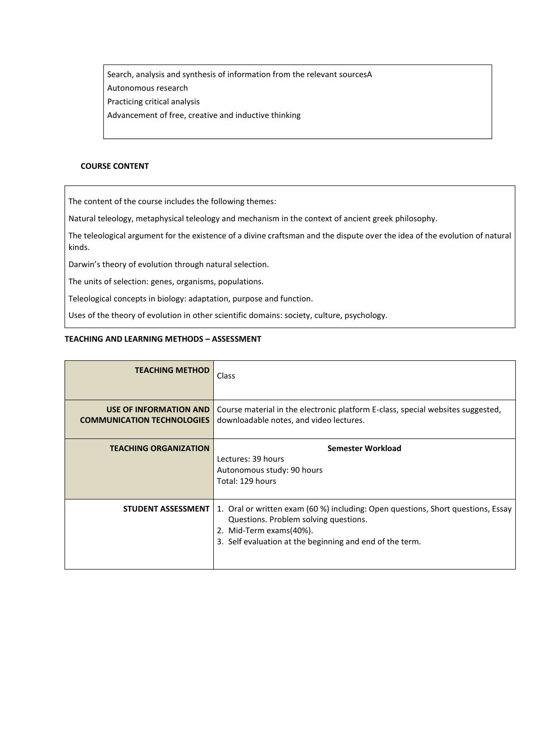Search, analysis and synthesis of information from the relevant sourcesA Autonomous research Practicing critical analysis Advancement of free, creative and inductive thinking

### **COURSE CONTENT**

The content of the course includes the following themes:

Natural teleology, metaphysical teleology and mechanism in the context of ancient greek philosophy.

The teleological argument for the existence of a divine craftsman and the dispute over the idea of the evolution of natural kinds.

Darwin's theory of evolution through natural selection.

The units of selection: genes, organisms, populations.

Teleological concepts in biology: adaptation, purpose and function.

Uses of the theory of evolution in other scientific domains: society, culture, psychology.

## **TEACHING AND LEARNING METHODS – ΑSSESSMENT**

| <b>TEACHING METHOD</b>                                             | Class                                                                                                                                                                                                            |
|--------------------------------------------------------------------|------------------------------------------------------------------------------------------------------------------------------------------------------------------------------------------------------------------|
| <b>USE OF INFORMATION AND</b><br><b>COMMUNICATION TECHNOLOGIES</b> | Course material in the electronic platform E-class, special websites suggested,<br>downloadable notes, and video lectures.                                                                                       |
| <b>TEACHING ORGANIZATION</b>                                       | Semester Workload<br>Lectures: 39 hours<br>Autonomous study: 90 hours<br>Total: 129 hours                                                                                                                        |
| <b>STUDENT ASSESSMENT</b>                                          | 1. Oral or written exam (60 %) including: Open questions, Short questions, Essay<br>Questions. Problem solving questions.<br>2. Mid-Term exams(40%).<br>3. Self evaluation at the beginning and end of the term. |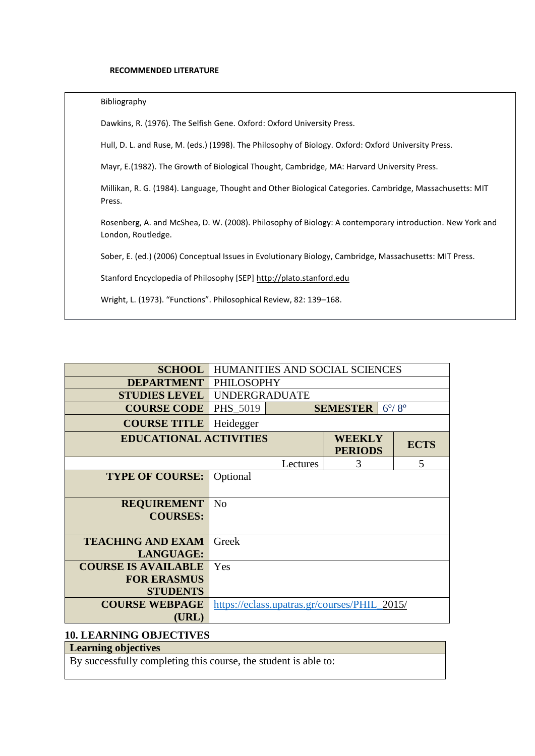#### **RECOMMENDED LITERATURE**

#### Bibliography

Dawkins, R. (1976). The Selfish Gene. Oxford: Oxford University Press.

Hull, D. L. and Ruse, M. (eds.) (1998). The Philosophy of Biology. Oxford: Oxford University Press.

Mayr, E.(1982). The Growth of Biological Thought, Cambridge, MA: Harvard University Press.

Millikan, R. G. (1984). Language, Thought and Other Biological Categories. Cambridge, Massachusetts: MIT Press.

Rosenberg, A. and McShea, D. W. (2008). Philosophy of Biology: A contemporary introduction. New York and London, Routledge.

Sober, E. (ed.) (2006) Conceptual Issues in Evolutionary Biology, Cambridge, Massachusetts: MIT Press.

Stanford Encyclopedia of Philosophy [SEP] [http://plato.stanford.edu](http://plato.stanford.edu/)

Wright, L. (1973). "Functions". Philosophical Review, 82: 139–168.

| <b>SCHOOL</b>                                                       | HUMANITIES AND SOCIAL SCIENCES                              |          |                                 |  |             |
|---------------------------------------------------------------------|-------------------------------------------------------------|----------|---------------------------------|--|-------------|
| <b>DEPARTMENT</b>                                                   | <b>PHILOSOPHY</b>                                           |          |                                 |  |             |
| <b>STUDIES LEVEL</b>                                                | <b>UNDERGRADUATE</b>                                        |          |                                 |  |             |
| <b>COURSE CODE</b>                                                  | $6^{\circ}/8^{\circ}$<br><b>PHS 5019</b><br><b>SEMESTER</b> |          |                                 |  |             |
| <b>COURSE TITLE</b>                                                 | Heidegger                                                   |          |                                 |  |             |
|                                                                     | <b>EDUCATIONAL ACTIVITIES</b>                               |          | <b>WEEKLY</b><br><b>PERIODS</b> |  | <b>ECTS</b> |
|                                                                     |                                                             | Lectures | 3                               |  | 5           |
| <b>TYPE OF COURSE:</b>                                              | Optional                                                    |          |                                 |  |             |
| <b>REQUIREMENT</b><br><b>COURSES:</b>                               | N <sub>o</sub>                                              |          |                                 |  |             |
| <b>TEACHING AND EXAM</b><br><b>LANGUAGE:</b>                        | Greek                                                       |          |                                 |  |             |
| <b>COURSE IS AVAILABLE</b><br><b>FOR ERASMUS</b><br><b>STUDENTS</b> | Yes                                                         |          |                                 |  |             |
| <b>COURSE WEBPAGE</b><br>(URL)                                      | https://eclass.upatras.gr/courses/PHIL_2015/                |          |                                 |  |             |

## **10. LEARNING OBJECTIVES**

# **Learning objectives**

By successfully completing this course, the student is able to: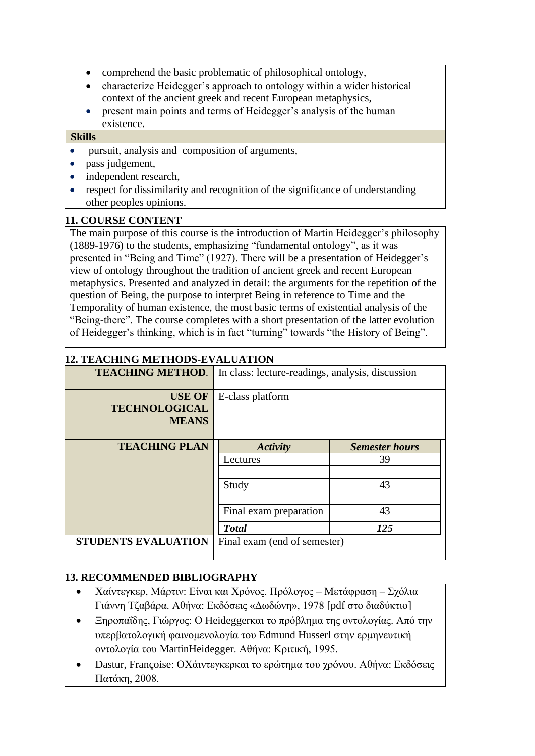- comprehend the basic problematic of philosophical ontology,
- characterize Heidegger's approach to ontology within a wider historical context of the ancient greek and recent European metaphysics,
- present main points and terms of Heidegger's analysis of the human existence.

# **Skills**

- pursuit, analysis and composition of arguments,
- pass judgement,
- independent research,
- respect for dissimilarity and recognition of the significance of understanding other peoples opinions.

# **11. COURSE CONTENT**

The main purpose of this course is the introduction of Martin Heidegger's philosophy (1889-1976) to the students, emphasizing "fundamental ontology", as it was presented in "Being and Time" (1927). There will be a presentation of Heidegger's view of ontology throughout the tradition of ancient greek and recent European metaphysics. Presented and analyzed in detail: the arguments for the repetition of the question of Being, the purpose to interpret Being in reference to Time and the Temporality of human existence, the most basic terms of existential analysis of the "Being-there". The course completes with a short presentation of the latter evolution of Heidegger's thinking, which is in fact "turning" towards "the History of Being".

# **12. TEACHING METHODS-EVALUATION**

| <b>TEACHING METHOD.</b>                               | In class: lecture-readings, analysis, discussion |                       |  |
|-------------------------------------------------------|--------------------------------------------------|-----------------------|--|
| <b>USE OF</b><br><b>TECHNOLOGICAL</b><br><b>MEANS</b> | E-class platform                                 |                       |  |
| <b>TEACHING PLAN</b>                                  | <b>Activity</b>                                  | <b>Semester hours</b> |  |
|                                                       | Lectures                                         | 39                    |  |
|                                                       | Study                                            | 43                    |  |
|                                                       | Final exam preparation                           | 43                    |  |
|                                                       | <b>Total</b>                                     | 125                   |  |
| <b>STUDENTS EVALUATION</b>                            | Final exam (end of semester)                     |                       |  |

# **13. RECOMMENDED BIBLIOGRAPHY**

- Χαίντεγκερ, Μάρτιν: Είναι και Χρόνος. Πρόλογος Μετάφραση Σχόλια Γιάννη Τζαβάρα. Αθήνα: Εκδόσεις «Δωδώνη», 1978 [pdf στο διαδύκτιο]
- Ξηροπαΐδης, Γιώργος: Ο Heideggerκαι το πρόβλημα της οντολογίας. Από την υπερβατολογική φαινομενολογία του Edmund Husserl στην ερμηνευτική οντολογία του MartinHeidegger. Αθήνα: Κριτική, 1995.
- Dastur, Françoise: ΟΧάιντεγκερκαι το ερώτημα του χρόνου. Αθήνα: Εκδόσεις Πατάκη, 2008.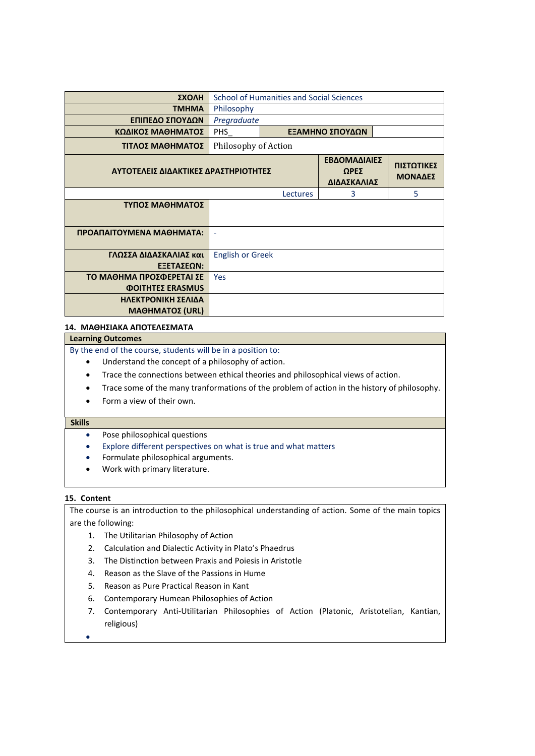| ΣΧΟΛΗ                                | School of Humanities and Social Sciences |                                     |                              |   |  |
|--------------------------------------|------------------------------------------|-------------------------------------|------------------------------|---|--|
| <b>TMHMA</b>                         | Philosophy                               |                                     |                              |   |  |
| ΕΠΙΠΕΔΟ ΣΠΟΥΔΩΝ                      |                                          | Pregraduate                         |                              |   |  |
| ΚΩΔΙΚΟΣ ΜΑΘΗΜΑΤΟΣ                    | <b>PHS</b>                               | ΕΞΑΜΗΝΟ ΣΠΟΥΔΩΝ                     |                              |   |  |
| ΤΙΤΛΟΣ ΜΑΘΗΜΑΤΟΣ                     | Philosophy of Action                     |                                     |                              |   |  |
| ΑΥΤΟΤΕΛΕΙΣ ΔΙΔΑΚΤΙΚΕΣ ΔΡΑΣΤΗΡΙΟΤΗΤΕΣ |                                          | ΕΒΔΟΜΑΔΙΑΙΕΣ<br>ΩΡΕΣ<br>ΔΙΔΑΣΚΑΛΙΑΣ | ΠΙΣΤΩΤΙΚΕΣ<br><b>ΜΟΝΑΔΕΣ</b> |   |  |
|                                      |                                          | Lectures                            | 3                            | 5 |  |
| ΤΥΠΟΣ ΜΑΘΗΜΑΤΟΣ                      |                                          |                                     |                              |   |  |
| ΠΡΟΑΠΑΙΤΟΥΜΕΝΑ ΜΑΘΗΜΑΤΑ:             | $\blacksquare$                           |                                     |                              |   |  |
| ΓΛΩΣΣΑ ΔΙΔΑΣΚΑΛΙΑΣ και<br>ΕΞΕΤΑΣΕΩΝ: | <b>English or Greek</b>                  |                                     |                              |   |  |
| ΤΟ ΜΑΘΗΜΑ ΠΡΟΣΦΕΡΕΤΑΙ ΣΕ             | <b>Yes</b>                               |                                     |                              |   |  |
| <b>ΦΟΙΤΗΤΕΣ ERASMUS</b>              |                                          |                                     |                              |   |  |
| ΗΛΕΚΤΡΟΝΙΚΗ ΣΕΛΙΔΑ                   |                                          |                                     |                              |   |  |
| <b>ΜΑΘΗΜΑΤΟΣ (URL)</b>               |                                          |                                     |                              |   |  |

### **14. ΜΑΘΗΣΙΑΚΑ ΑΠΟΤΕΛΕΣΜΑΤΑ**

#### **Learning Outcomes**

By the end of the course, students will be in a position to:

- Understand the concept of a philosophy of action.
- Trace the connections between ethical theories and philosophical views of action.
- Trace some of the many tranformations of the problem of action in the history of philosophy.
- Form a view of their own.

## **Skills**

- Pose philosophical questions
- Explore different perspectives on what is true and what matters
- Formulate philosophical arguments.
- Work with primary literature.

### **15. Content**

The course is an introduction to the philosophical understanding of action. Some of the main topics are the following:

- 1. The Utilitarian Philosophy of Action
- 2. Calculation and Dialectic Activity in Plato's Phaedrus
- 3. The Distinction between Praxis and Poiesis in Aristotle
- 4. Reason as the Slave of the Passions in Hume
- 5. Reason as Pure Practical Reason in Kant
- 6. Contemporary Humean Philosophies of Action
- 7. Contemporary Anti-Utilitarian Philosophies of Action (Platonic, Aristotelian, Kantian, religious)
- •